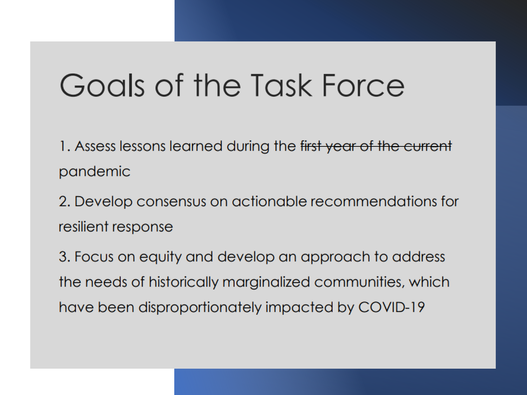# Goals of the Task Force

1. Assess lessons learned during the first year of the current pandemic

2. Develop consensus on actionable recommendations for resilient response

3. Focus on equity and develop an approach to address the needs of historically marginalized communities, which have been disproportionately impacted by COVID-19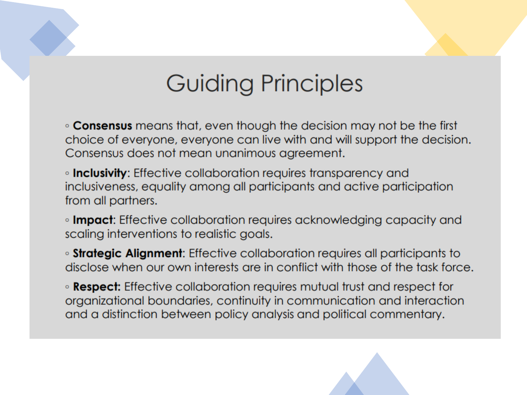### Guiding Principles

. Consensus means that, even though the decision may not be the first choice of everyone, everyone can live with and will support the decision. Consensus does not mean unanimous agreement.

**Inclusivity:** Effective collaboration requires transparency and inclusiveness, equality among all participants and active participation from all partners.

**Impact:** Effective collaboration requires acknowledging capacity and scaling interventions to realistic goals.

• **Strategic Alignment**: Effective collaboration requires all participants to disclose when our own interests are in conflict with those of the task force.

• **Respect:** Effective collaboration requires mutual trust and respect for organizational boundaries, continuity in communication and interaction and a distinction between policy analysis and political commentary.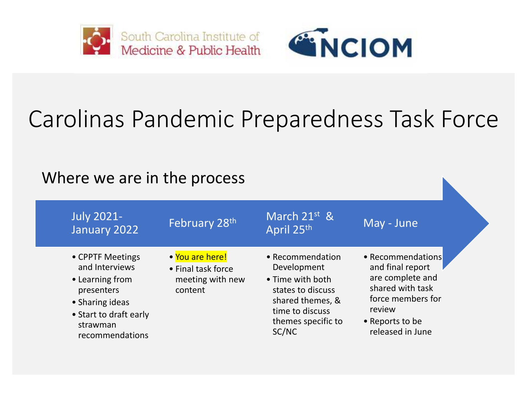



# Carolinas Pandemic Preparedness Task Force

#### Where we are in the process

| <b>July 2021-</b><br>January 2022                                                                                                               | February 28 <sup>th</sup>                                            | March 21st &<br>April 25th                                                                                                                     | May - June                                                                                                                                          |
|-------------------------------------------------------------------------------------------------------------------------------------------------|----------------------------------------------------------------------|------------------------------------------------------------------------------------------------------------------------------------------------|-----------------------------------------------------------------------------------------------------------------------------------------------------|
| • CPPTF Meetings<br>and Interviews<br>• Learning from<br>presenters<br>• Sharing ideas<br>• Start to draft early<br>strawman<br>recommendations | • You are here!<br>• Final task force<br>meeting with new<br>content | • Recommendation<br>Development<br>• Time with both<br>states to discuss<br>shared themes, &<br>time to discuss<br>themes specific to<br>SC/NC | • Recommendations<br>and final report<br>are complete and<br>shared with task<br>force members for<br>review<br>• Reports to be<br>released in June |